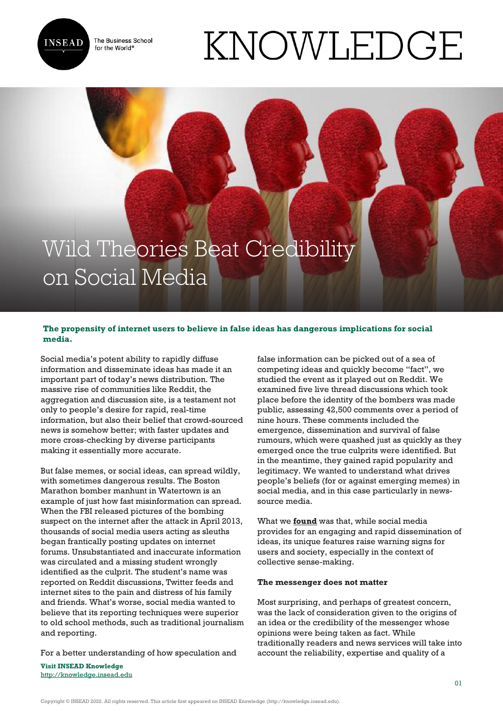The Business School for the World<sup>®</sup>



# KNOWLEDGE

## Wild Theories Beat Credibility on Social Media

### **The propensity of internet users to believe in false ideas has dangerous implications for social media.**

Social media's potent ability to rapidly diffuse information and disseminate ideas has made it an important part of today's news distribution. The massive rise of communities like Reddit, the aggregation and discussion site, is a testament not only to people's desire for rapid, real-time information, but also their belief that crowd-sourced news is somehow better; with faster updates and more cross-checking by diverse participants making it essentially more accurate.

But false memes, or social ideas, can spread wildly, with sometimes dangerous results. The Boston Marathon bomber manhunt in Watertown is an example of just how fast misinformation can spread. When the FBI released pictures of the bombing suspect on the internet after the attack in April 2013, thousands of social media users acting as sleuths began frantically posting updates on internet forums. Unsubstantiated and inaccurate information was circulated and a missing student wrongly identified as the culprit. The student's name was reported on Reddit discussions, Twitter feeds and internet sites to the pain and distress of his family and friends. What's worse, social media wanted to believe that its reporting techniques were superior to old school methods, such as traditional journalism and reporting.

For a better understanding of how speculation and

**Visit INSEAD Knowledge** <http://knowledge.insead.edu> false information can be picked out of a sea of competing ideas and quickly become "fact", we studied the event as it played out on Reddit. We examined five live thread discussions which took place before the identity of the bombers was made public, assessing 42,500 comments over a period of nine hours. These comments included the emergence, dissemination and survival of false rumours, which were quashed just as quickly as they emerged once the true culprits were identified. But in the meantime, they gained rapid popularity and legitimacy. We wanted to understand what drives people's beliefs (for or against emerging memes) in social media, and in this case particularly in newssource media.

What we **[found](https://www.researchgate.net/publication/291371466_The_Spread_of_False_Ideas_through_Social_Media)** was that, while social media provides for an engaging and rapid dissemination of ideas, its unique features raise warning signs for users and society, especially in the context of collective sense-making.

#### **The messenger does not matter**

Most surprising, and perhaps of greatest concern, was the lack of consideration given to the origins of an idea or the credibility of the messenger whose opinions were being taken as fact. While traditionally readers and news services will take into account the reliability, expertise and quality of a

Copyright © INSEAD 2022. All rights reserved. This article first appeared on INSEAD Knowledge (http://knowledge.insead.edu).